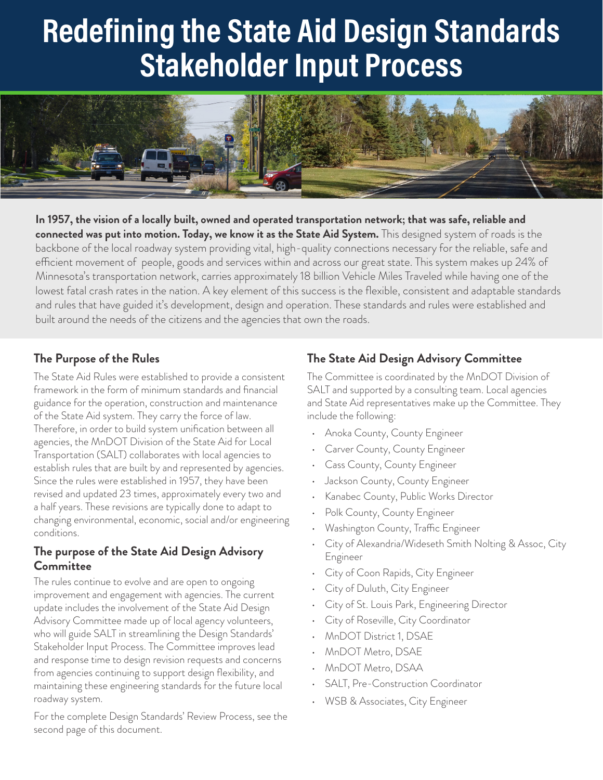# **Redefining the State Aid Design Standards Stakeholder Input Process**



**In 1957, the vision of a locally built, owned and operated transportation network; that was safe, reliable and connected was put into motion. Today, we know it as the State Aid System.** This designed system of roads is the backbone of the local roadway system providing vital, high-quality connections necessary for the reliable, safe and efficient movement of people, goods and services within and across our great state. This system makes up 24% of Minnesota's transportation network, carries approximately 18 billion Vehicle Miles Traveled while having one of the lowest fatal crash rates in the nation. A key element of this success is the flexible, consistent and adaptable standards and rules that have guided it's development, design and operation. These standards and rules were established and built around the needs of the citizens and the agencies that own the roads.

### **The Purpose of the Rules**

The State Aid Rules were established to provide a consistent framework in the form of minimum standards and financial guidance for the operation, construction and maintenance of the State Aid system. They carry the force of law. Therefore, in order to build system unification between all agencies, the MnDOT Division of the State Aid for Local Transportation (SALT) collaborates with local agencies to establish rules that are built by and represented by agencies. Since the rules were established in 1957, they have been revised and updated 23 times, approximately every two and a half years. These revisions are typically done to adapt to changing environmental, economic, social and/or engineering conditions.

### **The purpose of the State Aid Design Advisory Committee**

The rules continue to evolve and are open to ongoing improvement and engagement with agencies. The current update includes the involvement of the State Aid Design Advisory Committee made up of local agency volunteers, who will guide SALT in streamlining the Design Standards' Stakeholder Input Process. The Committee improves lead and response time to design revision requests and concerns from agencies continuing to support design flexibility, and maintaining these engineering standards for the future local roadway system.

For the complete Design Standards' Review Process, see the second page of this document.

## **The State Aid Design Advisory Committee**

The Committee is coordinated by the MnDOT Division of SALT and supported by a consulting team. Local agencies and State Aid representatives make up the Committee. They include the following:

- Anoka County, County Engineer
- Carver County, County Engineer
- Cass County, County Engineer
- Jackson County, County Engineer
- Kanabec County, Public Works Director
- Polk County, County Engineer
- Washington County, Traffic Engineer
- City of Alexandria/Wideseth Smith Nolting & Assoc, City Engineer
- City of Coon Rapids, City Engineer
- City of Duluth, City Engineer
- City of St. Louis Park, Engineering Director
- City of Roseville, City Coordinator
- MnDOT District 1, DSAE
- MnDOT Metro, DSAE
- MnDOT Metro, DSAA
- SALT, Pre-Construction Coordinator
- WSB & Associates, City Engineer